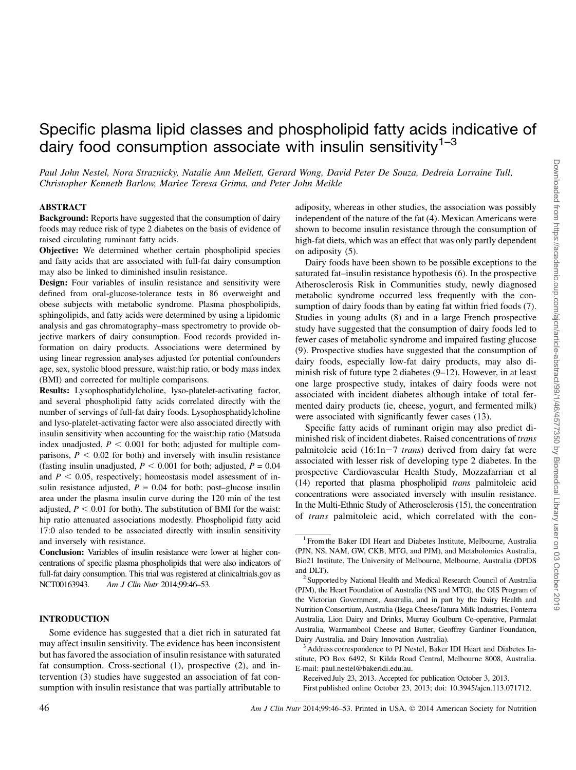# Specific plasma lipid classes and phospholipid fatty acids indicative of dairy food consumption associate with insulin sensitivity<sup>1-3</sup>

Paul John Nestel, Nora Straznicky, Natalie Ann Mellett, Gerard Wong, David Peter De Souza, Dedreia Lorraine Tull, Christopher Kenneth Barlow, Mariee Teresa Grima, and Peter John Meikle

#### ABSTRACT

Background: Reports have suggested that the consumption of dairy foods may reduce risk of type 2 diabetes on the basis of evidence of raised circulating ruminant fatty acids.

Objective: We determined whether certain phospholipid species and fatty acids that are associated with full-fat dairy consumption may also be linked to diminished insulin resistance.

Design: Four variables of insulin resistance and sensitivity were defined from oral-glucose-tolerance tests in 86 overweight and obese subjects with metabolic syndrome. Plasma phospholipids, sphingolipids, and fatty acids were determined by using a lipidomic analysis and gas chromatography–mass spectrometry to provide objective markers of dairy consumption. Food records provided information on dairy products. Associations were determined by using linear regression analyses adjusted for potential confounders age, sex, systolic blood pressure, waist:hip ratio, or body mass index (BMI) and corrected for multiple comparisons.

Results: Lysophosphatidylcholine, lyso-platelet-activating factor, and several phospholipid fatty acids correlated directly with the number of servings of full-fat dairy foods. Lysophosphatidylcholine and lyso-platelet-activating factor were also associated directly with insulin sensitivity when accounting for the waist:hip ratio (Matsuda index unadjusted,  $P < 0.001$  for both; adjusted for multiple comparisons,  $P < 0.02$  for both) and inversely with insulin resistance (fasting insulin unadjusted,  $P < 0.001$  for both; adjusted,  $P = 0.04$ and  $P < 0.05$ , respectively; homeostasis model assessment of insulin resistance adjusted,  $P = 0.04$  for both; post–glucose insulin area under the plasma insulin curve during the 120 min of the test adjusted,  $P < 0.01$  for both). The substitution of BMI for the waist: hip ratio attenuated associations modestly. Phospholipid fatty acid 17:0 also tended to be associated directly with insulin sensitivity and inversely with resistance.

Conclusion: Variables of insulin resistance were lower at higher concentrations of specific plasma phospholipids that were also indicators of full-fat dairy consumption. This trial was registered at clinicaltrials.gov as NCT00163943. Am J Clin Nutr 2014;99:46-53.

## INTRODUCTION

Some evidence has suggested that a diet rich in saturated fat may affect insulin sensitivity. The evidence has been inconsistent but has favored the association of insulin resistance with saturated fat consumption. Cross-sectional (1), prospective (2), and intervention (3) studies have suggested an association of fat consumption with insulin resistance that was partially attributable to adiposity, whereas in other studies, the association was possibly independent of the nature of the fat (4). Mexican Americans were shown to become insulin resistance through the consumption of high-fat diets, which was an effect that was only partly dependent on adiposity (5).

Dairy foods have been shown to be possible exceptions to the saturated fat–insulin resistance hypothesis (6). In the prospective Atherosclerosis Risk in Communities study, newly diagnosed metabolic syndrome occurred less frequently with the consumption of dairy foods than by eating fat within fried foods (7). Studies in young adults (8) and in a large French prospective study have suggested that the consumption of dairy foods led to fewer cases of metabolic syndrome and impaired fasting glucose (9). Prospective studies have suggested that the consumption of dairy foods, especially low-fat dairy products, may also diminish risk of future type 2 diabetes (9–12). However, in at least one large prospective study, intakes of dairy foods were not associated with incident diabetes although intake of total fermented dairy products (ie, cheese, yogurt, and fermented milk) were associated with significantly fewer cases (13).

Specific fatty acids of ruminant origin may also predict diminished risk of incident diabetes. Raised concentrations of trans palmitoleic acid  $(16:1n-7$  trans) derived from dairy fat were associated with lesser risk of developing type 2 diabetes. In the prospective Cardiovascular Health Study, Mozzafarrian et al (14) reported that plasma phospholipid trans palmitoleic acid concentrations were associated inversely with insulin resistance. In the Multi-Ethnic Study of Atherosclerosis (15), the concentration of trans palmitoleic acid, which correlated with the con-

<sup>&</sup>lt;sup>1</sup> From the Baker IDI Heart and Diabetes Institute, Melbourne, Australia (PJN, NS, NAM, GW, CKB, MTG, and PJM), and Metabolomics Australia, Bio21 Institute, The University of Melbourne, Melbourne, Australia (DPDS and DLT).<br><sup>2</sup> Supported by National Health and Medical Research Council of Australia

<sup>(</sup>PJM), the Heart Foundation of Australia (NS and MTG), the OIS Program of the Victorian Government, Australia, and in part by the Dairy Health and Nutrition Consortium, Australia (Bega Cheese/Tatura Milk Industries, Fonterra Australia, Lion Dairy and Drinks, Murray Goulburn Co-operative, Parmalat Australia, Warrnambool Cheese and Butter, Geoffrey Gardiner Foundation, Dairy Australia, and Dairy Innovation Australia).

<sup>&</sup>lt;sup>3</sup> Address correspondence to PJ Nestel, Baker IDI Heart and Diabetes Institute, PO Box 6492, St Kilda Road Central, Melbourne 8008, Australia. E-mail: paul.nestel@bakeridi.edu.au.

Received July 23, 2013. Accepted for publication October 3, 2013.

First published online October 23, 2013; doi: 10.3945/ajcn.113.071712.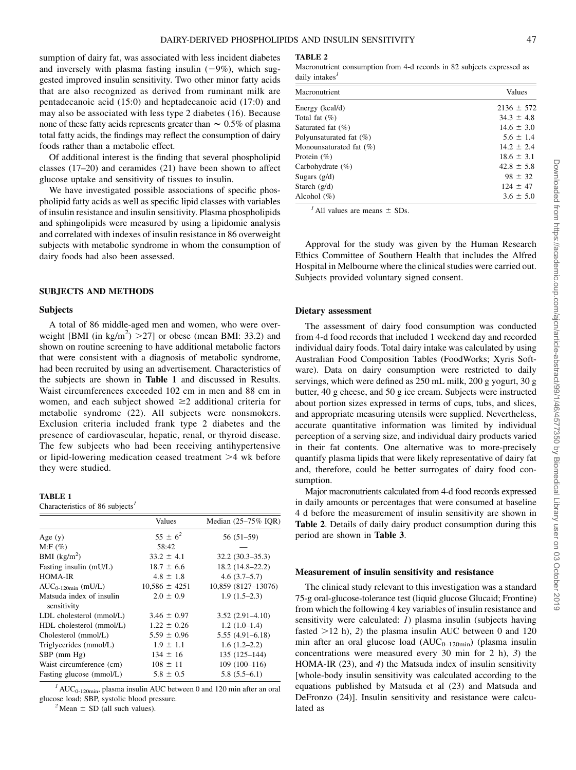sumption of dairy fat, was associated with less incident diabetes and inversely with plasma fasting insulin  $(-9\%)$ , which suggested improved insulin sensitivity. Two other minor fatty acids that are also recognized as derived from ruminant milk are pentadecanoic acid (15:0) and heptadecanoic acid (17:0) and may also be associated with less type 2 diabetes (16). Because none of these fatty acids represents greater than  $\sim 0.5\%$  of plasma total fatty acids, the findings may reflect the consumption of dairy foods rather than a metabolic effect.

Of additional interest is the finding that several phospholipid classes (17–20) and ceramides (21) have been shown to affect glucose uptake and sensitivity of tissues to insulin.

We have investigated possible associations of specific phospholipid fatty acids as well as specific lipid classes with variables of insulin resistance and insulin sensitivity. Plasma phospholipids and sphingolipids were measured by using a lipidomic analysis and correlated with indexes of insulin resistance in 86 overweight subjects with metabolic syndrome in whom the consumption of dairy foods had also been assessed.

#### SUBJECTS AND METHODS

#### Subjects

A total of 86 middle-aged men and women, who were overweight [BMI (in kg/m<sup>2</sup>)  $>$  27] or obese (mean BMI: 33.2) and shown on routine screening to have additional metabolic factors that were consistent with a diagnosis of metabolic syndrome, had been recruited by using an advertisement. Characteristics of the subjects are shown in Table 1 and discussed in Results. Waist circumferences exceeded 102 cm in men and 88 cm in women, and each subject showed  $\geq 2$  additional criteria for metabolic syndrome (22). All subjects were nonsmokers. Exclusion criteria included frank type 2 diabetes and the presence of cardiovascular, hepatic, renal, or thyroid disease. The few subjects who had been receiving antihypertensive or lipid-lowering medication ceased treatment  $\geq 4$  wk before they were studied.

#### TABLE 1

Characteristics of 86 subjects $\frac{1}{2}$ 

|                                         | Values            | Median (25-75% IOR) |
|-----------------------------------------|-------------------|---------------------|
| Age $(y)$                               | $55 \pm 6^2$      | $56(51-59)$         |
| $M: F(\%)$                              | 58:42             |                     |
| BMI $(kg/m2)$                           | $33.2 \pm 4.1$    | $32.2(30.3-35.3)$   |
| Fasting insulin (mU/L)                  | $18.7 \pm 6.6$    | $18.2(14.8-22.2)$   |
| <b>HOMA-IR</b>                          | $4.8 \pm 1.8$     | $4.6(3.7-5.7)$      |
| $AUC_{0-120min}$ (mU/L)                 | $10,586 \pm 4251$ | 10,859 (8127-13076) |
| Matsuda index of insulin<br>sensitivity | $2.0 \pm 0.9$     | $1.9(1.5-2.3)$      |
| LDL cholesterol (mmol/L)                | $3.46 \pm 0.97$   | $3.52(2.91 - 4.10)$ |
| HDL cholesterol (mmol/L)                | $1.22 \pm 0.26$   | $1.2(1.0-1.4)$      |
| Cholesterol (mmol/L)                    | $5.59 \pm 0.96$   | $5.55(4.91 - 6.18)$ |
| Triglycerides (mmol/L)                  | $1.9 \pm 1.1$     | $1.6(1.2-2.2)$      |
| $SBP$ (mm $Hg$ )                        | $134 \pm 16$      | $135(125 - 144)$    |
| Waist circumference (cm)                | $108 \pm 11$      | $109(100-116)$      |
| Fasting glucose (mmol/L)                | $5.8 \pm 0.5$     | $5.8(5.5-6.1)$      |

 $1/\text{AUC}_{0-120\text{min}}$ , plasma insulin AUC between 0 and 120 min after an oral glucose load; SBP, systolic blood pressure.<br> $^{2}$ Mean  $\pm$  SD (all such values).

TABLE 2

Macronutrient consumption from 4-d records in 82 subjects expressed as daily intakes $<sup>I</sup>$ </sup>

| Macronutrient           | Values         |
|-------------------------|----------------|
| Energy (kcal/d)         | $2136 \pm 572$ |
| Total fat $(\%)$        | $34.3 \pm 4.8$ |
| Saturated fat (%)       | $14.6 \pm 3.0$ |
| Polyunsaturated fat (%) | $5.6 \pm 1.4$  |
| Monounsaturated fat (%) | $14.2 \pm 2.4$ |
| Protein (%)             | $18.6 \pm 3.1$ |
| Carbohydrate (%)        | $42.8 \pm 5.8$ |
| Sugars $(g/d)$          | $98 \pm 32$    |
| Starch $(g/d)$          | $124 \pm 47$   |
| Alcohol (%)             | $3.6 \pm 5.0$  |
|                         |                |

 $^{\prime}$  All values are means  $\pm$  SDs.

Approval for the study was given by the Human Research Ethics Committee of Southern Health that includes the Alfred Hospital in Melbourne where the clinical studies were carried out. Subjects provided voluntary signed consent.

#### Dietary assessment

The assessment of dairy food consumption was conducted from 4-d food records that included 1 weekend day and recorded individual dairy foods. Total dairy intake was calculated by using Australian Food Composition Tables (FoodWorks; Xyris Software). Data on dairy consumption were restricted to daily servings, which were defined as 250 mL milk, 200 g yogurt, 30 g butter, 40 g cheese, and 50 g ice cream. Subjects were instructed about portion sizes expressed in terms of cups, tubs, and slices, and appropriate measuring utensils were supplied. Nevertheless, accurate quantitative information was limited by individual perception of a serving size, and individual dairy products varied in their fat contents. One alternative was to more-precisely quantify plasma lipids that were likely representative of dairy fat and, therefore, could be better surrogates of dairy food consumption.

Major macronutrients calculated from 4-d food records expressed in daily amounts or percentages that were consumed at baseline 4 d before the measurement of insulin sensitivity are shown in Table 2. Details of daily dairy product consumption during this period are shown in Table 3.

## Measurement of insulin sensitivity and resistance

The clinical study relevant to this investigation was a standard 75-g oral-glucose-tolerance test (liquid glucose Glucaid; Frontine) from which the following 4 key variables of insulin resistance and sensitivity were calculated: *1*) plasma insulin (subjects having fasted  $>12$  h), 2) the plasma insulin AUC between 0 and 120 min after an oral glucose load  $(AUC_{0-120min})$  (plasma insulin concentrations were measured every 30 min for 2 h), 3) the HOMA-IR (23), and 4) the Matsuda index of insulin sensitivity [whole-body insulin sensitivity was calculated according to the equations published by Matsuda et al (23) and Matsuda and DeFronzo (24)]. Insulin sensitivity and resistance were calculated as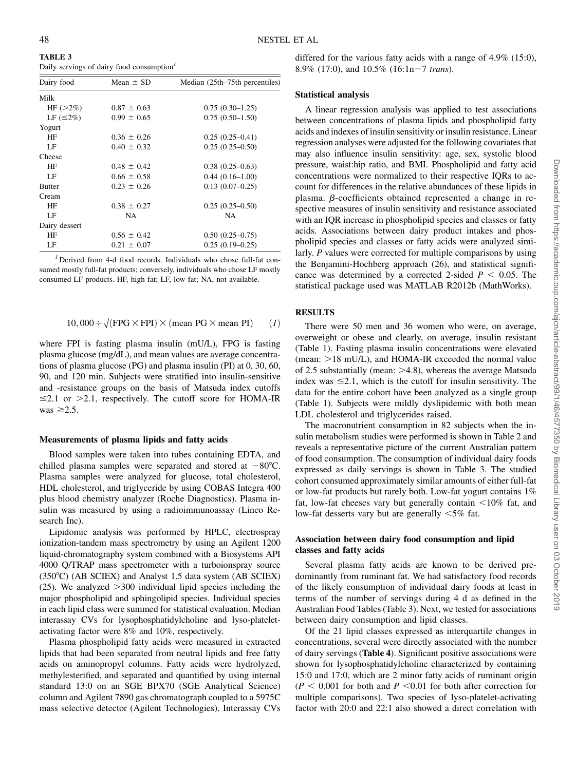48 NESTEL ET AL

TABLE 3 Daily servings of dairy food consumption<sup>1</sup>

| Dairy food      | Mean $\pm$ SD   | Median (25th–75th percentiles) |
|-----------------|-----------------|--------------------------------|
| Milk            |                 |                                |
| $HF(>2\%)$      | $0.87 \pm 0.63$ | $0.75(0.30-1.25)$              |
| LF $(\leq 2\%)$ | $0.99 \pm 0.65$ | $0.75(0.50-1.50)$              |
| Yogurt          |                 |                                |
| ΗF              | $0.36 \pm 0.26$ | $0.25(0.25-0.41)$              |
| LF              | $0.40 \pm 0.32$ | $0.25(0.25-0.50)$              |
| Cheese          |                 |                                |
| HF              | $0.48 \pm 0.42$ | $0.38(0.25-0.63)$              |
| LF              | $0.66 \pm 0.58$ | $0.44(0.16-1.00)$              |
| <b>Butter</b>   | $0.23 \pm 0.26$ | $0.13(0.07-0.25)$              |
| Cream           |                 |                                |
| HF              | $0.38 \pm 0.27$ | $0.25(0.25-0.50)$              |
| LF              | NA              | NA                             |
| Dairy dessert   |                 |                                |
| ΗF              | $0.56 \pm 0.42$ | $0.50(0.25-0.75)$              |
| LF              | $0.21 \pm 0.07$ | $0.25(0.19-0.25)$              |
|                 |                 |                                |

 $<sup>I</sup>$  Derived from 4-d food records. Individuals who chose full-fat con-</sup> sumed mostly full-fat products; conversely, individuals who chose LF mostly consumed LF products. HF, high fat; LF, low fat; NA, not available.

$$
10,000 \div \sqrt{\text{FPG} \times \text{FPI}} \times \text{(mean PG} \times \text{mean PI)} \qquad (1)
$$

where FPI is fasting plasma insulin (mU/L), FPG is fasting plasma glucose (mg/dL), and mean values are average concentrations of plasma glucose (PG) and plasma insulin (PI) at 0, 30, 60, 90, and 120 min. Subjects were stratified into insulin-sensitive and -resistance groups on the basis of Matsuda index cutoffs  $\leq$ 2.1 or  $>$ 2.1, respectively. The cutoff score for HOMA-IR was  $\geq 2.5$ .

#### Measurements of plasma lipids and fatty acids

Blood samples were taken into tubes containing EDTA, and chilled plasma samples were separated and stored at  $-80^{\circ}$ C. Plasma samples were analyzed for glucose, total cholesterol, HDL cholesterol, and triglyceride by using COBAS Integra 400 plus blood chemistry analyzer (Roche Diagnostics). Plasma insulin was measured by using a radioimmunoassay (Linco Research Inc).

Lipidomic analysis was performed by HPLC, electrospray ionization-tandem mass spectrometry by using an Agilent 1200 liquid-chromatography system combined with a Biosystems API 4000 Q/TRAP mass spectrometer with a turboionspray source  $(350^{\circ}C)$  (AB SCIEX) and Analyst 1.5 data system (AB SCIEX) (25). We analyzed  $>300$  individual lipid species including the major phospholipid and sphingolipid species. Individual species in each lipid class were summed for statistical evaluation. Median interassay CVs for lysophosphatidylcholine and lyso-plateletactivating factor were 8% and 10%, respectively.

Plasma phospholipid fatty acids were measured in extracted lipids that had been separated from neutral lipids and free fatty acids on aminopropyl columns. Fatty acids were hydrolyzed, methylesterified, and separated and quantified by using internal standard 13:0 on an SGE BPX70 (SGE Analytical Science) column and Agilent 7890 gas chromatograph coupled to a 5975C mass selective detector (Agilent Technologies). Interassay CVs

differed for the various fatty acids with a range of 4.9% (15:0), 8.9% (17:0), and  $10.5\%$  (16:1n-7 trans).

#### Statistical analysis

A linear regression analysis was applied to test associations between concentrations of plasma lipids and phospholipid fatty acids and indexes of insulin sensitivity or insulin resistance. Linear regression analyses were adjusted for the following covariates that may also influence insulin sensitivity: age, sex, systolic blood pressure, waist:hip ratio, and BMI. Phospholipid and fatty acid concentrations were normalized to their respective IQRs to account for differences in the relative abundances of these lipids in plasma.  $\beta$ -coefficients obtained represented a change in respective measures of insulin sensitivity and resistance associated with an IQR increase in phospholipid species and classes or fatty acids. Associations between dairy product intakes and phospholipid species and classes or fatty acids were analyzed similarly. P values were corrected for multiple comparisons by using the Benjamini-Hochberg approach (26), and statistical significance was determined by a corrected 2-sided  $P < 0.05$ . The statistical package used was MATLAB R2012b (MathWorks).

## RESULTS

There were 50 men and 36 women who were, on average, overweight or obese and clearly, on average, insulin resistant (Table 1). Fasting plasma insulin concentrations were elevated (mean:  $>18$  mU/L), and HOMA-IR exceeded the normal value of 2.5 substantially (mean:  $>4.8$ ), whereas the average Matsuda index was  $\leq 2.1$ , which is the cutoff for insulin sensitivity. The data for the entire cohort have been analyzed as a single group (Table 1). Subjects were mildly dyslipidemic with both mean LDL cholesterol and triglycerides raised.

The macronutrient consumption in 82 subjects when the insulin metabolism studies were performed is shown in Table 2 and reveals a representative picture of the current Australian pattern of food consumption. The consumption of individual dairy foods expressed as daily servings is shown in Table 3. The studied cohort consumed approximately similar amounts of either full-fat or low-fat products but rarely both. Low-fat yogurt contains 1% fat, low-fat cheeses vary but generally contain  $\leq 10\%$  fat, and low-fat desserts vary but are generally  $<5\%$  fat.

# Association between dairy food consumption and lipid classes and fatty acids

Several plasma fatty acids are known to be derived predominantly from ruminant fat. We had satisfactory food records of the likely consumption of individual dairy foods at least in terms of the number of servings during 4 d as defined in the Australian Food Tables (Table 3). Next, we tested for associations between dairy consumption and lipid classes.

Of the 21 lipid classes expressed as interquartile changes in concentrations, several were directly associated with the number of dairy servings (Table 4). Significant positive associations were shown for lysophosphatidylcholine characterized by containing 15:0 and 17:0, which are 2 minor fatty acids of ruminant origin  $(P < 0.001$  for both and  $P < 0.01$  for both after correction for multiple comparisons). Two species of lyso-platelet-activating factor with 20:0 and 22:1 also showed a direct correlation with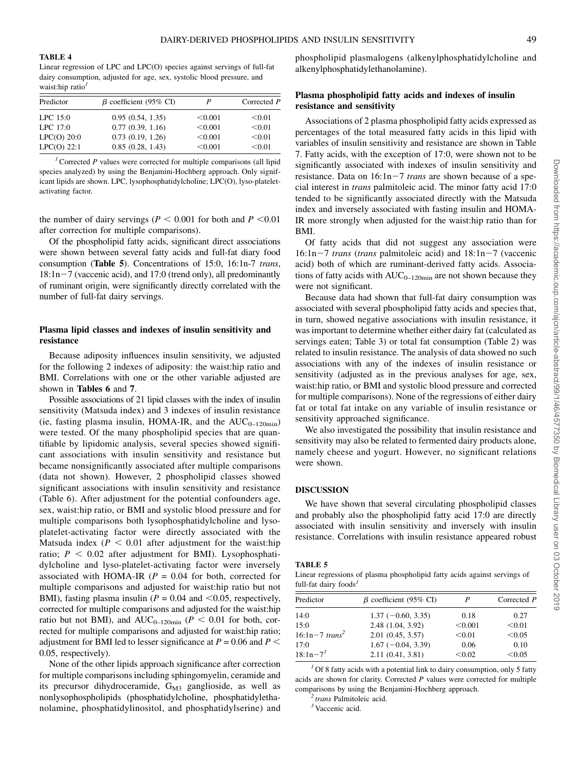TABLE 4

Linear regression of LPC and LPC(O) species against servings of full-fat dairy consumption, adjusted for age, sex, systolic blood pressure, and waist:hip ratio $<sup>1</sup>$ </sup>

| $\beta$ coefficient (95% CI)<br>Predictor |                  |         | Corrected P |  |
|-------------------------------------------|------------------|---------|-------------|--|
| $LPC$ 15:0                                | 0.95(0.54, 1.35) | < 0.001 | < 0.01      |  |
| LPC $17:0$                                | 0.77(0.39, 1.16) | < 0.001 | < 0.01      |  |
| $LPC(O)$ 20:0                             | 0.73(0.19, 1.26) | < 0.001 | < 0.01      |  |
| $LPC(O)$ 22:1                             | 0.85(0.28, 1.43) | < 0.001 | < 0.01      |  |

<sup>1</sup> Corrected P values were corrected for multiple comparisons (all lipid species analyzed) by using the Benjamini-Hochberg approach. Only significant lipids are shown. LPC, lysophosphatidylcholine; LPC(O), lyso-plateletactivating factor.

the number of dairy servings ( $P < 0.001$  for both and  $P < 0.01$ after correction for multiple comparisons).

Of the phospholipid fatty acids, significant direct associations were shown between several fatty acids and full-fat diary food consumption (Table 5). Concentrations of 15:0, 16:1n-7 trans,  $18:1n-7$  (vaccenic acid), and 17:0 (trend only), all predominantly of ruminant origin, were significantly directly correlated with the number of full-fat dairy servings.

## Plasma lipid classes and indexes of insulin sensitivity and resistance

Because adiposity influences insulin sensitivity, we adjusted for the following 2 indexes of adiposity: the waist:hip ratio and BMI. Correlations with one or the other variable adjusted are shown in Tables 6 and 7.

Possible associations of 21 lipid classes with the index of insulin sensitivity (Matsuda index) and 3 indexes of insulin resistance (ie, fasting plasma insulin, HOMA-IR, and the  $AUC_{0-120min}$ ) were tested. Of the many phospholipid species that are quantifiable by lipidomic analysis, several species showed significant associations with insulin sensitivity and resistance but became nonsignificantly associated after multiple comparisons (data not shown). However, 2 phospholipid classes showed significant associations with insulin sensitivity and resistance (Table 6). After adjustment for the potential confounders age, sex, waist:hip ratio, or BMI and systolic blood pressure and for multiple comparisons both lysophosphatidylcholine and lysoplatelet-activating factor were directly associated with the Matsuda index ( $P < 0.01$  after adjustment for the waist:hip ratio;  $P < 0.02$  after adjustment for BMI). Lysophosphatidylcholine and lyso-platelet-activating factor were inversely associated with HOMA-IR ( $P = 0.04$  for both, corrected for multiple comparisons and adjusted for waist:hip ratio but not BMI), fasting plasma insulin ( $P = 0.04$  and  $\leq 0.05$ , respectively, corrected for multiple comparisons and adjusted for the waist:hip ratio but not BMI), and  $AUC_{0-120min}$  ( $P < 0.01$  for both, corrected for multiple comparisons and adjusted for waist:hip ratio; adjustment for BMI led to lesser significance at  $P = 0.06$  and  $P <$ 0.05, respectively).

None of the other lipids approach significance after correction for multiple comparisons including sphingomyelin, ceramide and its precursor dihydroceramide, G<sub>M3</sub> ganglioside, as well as nonlysophospholipids (phosphatidylcholine, phosphatidylethanolamine, phosphatidylinositol, and phosphatidylserine) and phospholipid plasmalogens (alkenylphosphatidylcholine and alkenylphosphatidylethanolamine).

# Plasma phospholipid fatty acids and indexes of insulin resistance and sensitivity

Associations of 2 plasma phospholipid fatty acids expressed as percentages of the total measured fatty acids in this lipid with variables of insulin sensitivity and resistance are shown in Table 7. Fatty acids, with the exception of 17:0, were shown not to be significantly associated with indexes of insulin sensitivity and resistance. Data on  $16:1n-7$  trans are shown because of a special interest in trans palmitoleic acid. The minor fatty acid 17:0 tended to be significantly associated directly with the Matsuda index and inversely associated with fasting insulin and HOMA-IR more strongly when adjusted for the waist:hip ratio than for BMI.

Of fatty acids that did not suggest any association were  $16:1n-7$  trans (trans palmitoleic acid) and  $18:1n-7$  (vaccenic acid) both of which are ruminant-derived fatty acids. Associations of fatty acids with  $AUC_{0-120min}$  are not shown because they were not significant.

Because data had shown that full-fat dairy consumption was associated with several phospholipid fatty acids and species that, in turn, showed negative associations with insulin resistance, it was important to determine whether either dairy fat (calculated as servings eaten; Table 3) or total fat consumption (Table 2) was related to insulin resistance. The analysis of data showed no such associations with any of the indexes of insulin resistance or sensitivity (adjusted as in the previous analyses for age, sex, waist:hip ratio, or BMI and systolic blood pressure and corrected for multiple comparisons). None of the regressions of either dairy fat or total fat intake on any variable of insulin resistance or sensitivity approached significance.

We also investigated the possibility that insulin resistance and sensitivity may also be related to fermented dairy products alone, namely cheese and yogurt. However, no significant relations were shown.

#### DISCUSSION

We have shown that several circulating phospholipid classes and probably also the phospholipid fatty acid 17:0 are directly associated with insulin sensitivity and inversely with insulin resistance. Correlations with insulin resistance appeared robust

#### TABLE 5

Linear regressions of plasma phospholipid fatty acids against servings of full-fat dairy foods<sup>1</sup>

| Predictor                      | $\beta$ coefficient (95% CI) |         | Corrected P |  |
|--------------------------------|------------------------------|---------|-------------|--|
| 14:0                           | $1.37(-0.60, 3.35)$          | 0.18    | 0.27        |  |
| 15:0                           | 2.48 (1.04, 3.92)            | < 0.001 | < 0.01      |  |
| $16:1n - 7$ trans <sup>2</sup> | 2.01(0.45, 3.57)             | < 0.01  | < 0.05      |  |
| 17:0                           | $1.67(-0.04, 3.39)$          | 0.06    | 0.10        |  |
| $18:1n-7^3$                    | 2.11(0.41, 3.81)             | < 0.02  | < 0.05      |  |

 $<sup>1</sup>$  Of 8 fatty acids with a potential link to dairy consumption, only 5 fatty</sup> acids are shown for clarity. Corrected  $P$  values were corrected for multiple comparisons by using the Benjamini-Hochberg approach.<br> $\frac{2}{3}$  trans Palmitoleic acid.<br> $\frac{3}{3}$  Vaccenic acid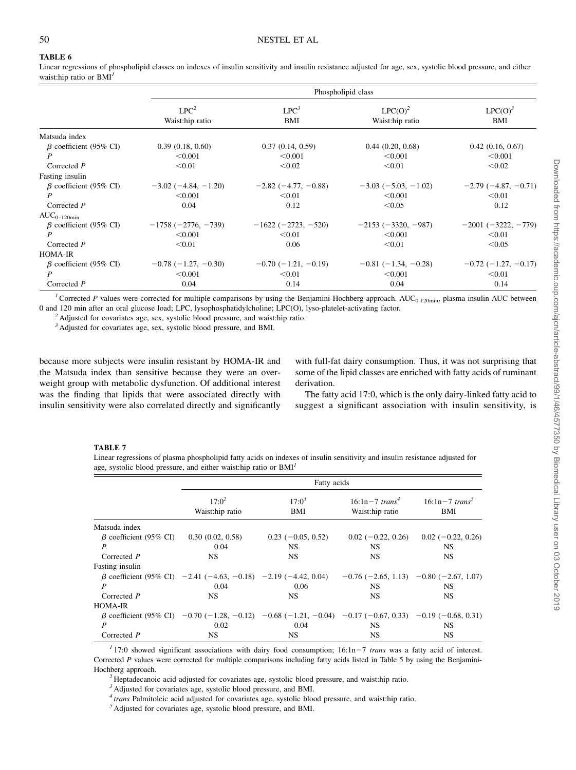# TABLE 6

Linear regressions of phospholipid classes on indexes of insulin sensitivity and insulin resistance adjusted for age, sex, systolic blood pressure, and either waist:hip ratio or BMI<sup>1</sup>

|                              | Phospholipid class            |                       |                               |                               |
|------------------------------|-------------------------------|-----------------------|-------------------------------|-------------------------------|
|                              | $LPC^2$<br>Waist:hip ratio    | $LPC^3$<br>BMI        | $LPC(O)^2$<br>Waist:hip ratio | $LPC(O)^3$<br>BMI             |
| Matsuda index                |                               |                       |                               |                               |
| $\beta$ coefficient (95% CI) | 0.39(0.18, 0.60)              | 0.37(0.14, 0.59)      | 0.44(0.20, 0.68)              | 0.42(0.16, 0.67)              |
|                              | < 0.001                       | < 0.001               | < 0.001                       | < 0.001                       |
| Corrected $P$                | < 0.01                        | < 0.02                | < 0.01                        | < 0.02                        |
| Fasting insulin              |                               |                       |                               |                               |
| $\beta$ coefficient (95% CI) | $-3.02$ ( $-4.84$ , $-1.20$ ) | $-2.82(-4.77, -0.88)$ | $-3.03(-5.03, -1.02)$         | $-2.79(-4.87, -0.71)$         |
|                              | < 0.001                       | < 0.01                | < 0.001                       | < 0.01                        |
| Corrected $P$                | 0.04                          | 0.12                  | < 0.05                        | 0.12                          |
| $AUC_{0-120min}$             |                               |                       |                               |                               |
| $\beta$ coefficient (95% CI) | $-1758 (-2776, -739)$         | $-1622(-2723, -520)$  | $-2153(-3320, -987)$          | $-2001(-3222, -779)$          |
| P                            | < 0.001                       | < 0.01                | < 0.001                       | < 0.01                        |
| Corrected $P$                | < 0.01                        | 0.06                  | < 0.01                        | < 0.05                        |
| <b>HOMA-IR</b>               |                               |                       |                               |                               |
| $\beta$ coefficient (95% CI) | $-0.78$ ( $-1.27$ , $-0.30$ ) | $-0.70(-1.21, -0.19)$ | $-0.81(-1.34, -0.28)$         | $-0.72$ ( $-1.27$ , $-0.17$ ) |
| P                            | < 0.001                       | < 0.01                | < 0.001                       | < 0.01                        |
| Corrected $P$                | 0.04                          | 0.14                  | 0.04                          | 0.14                          |

<sup>1</sup> Corrected P values were corrected for multiple comparisons by using the Benjamini-Hochberg approach. AUC<sub>0-120min</sub>, plasma insulin AUC between 0 and 120 min after an oral glucose load; LPC, lysophosphatidylcholine; LPC(O), lyso-platelet-activating factor. <sup>2</sup> Adjusted for covariates age, sex, systolic blood pressure, and waist:hip ratio.

<sup>3</sup> Adjusted for covariates age, sex, systolic blood pressure, and BMI.

because more subjects were insulin resistant by HOMA-IR and the Matsuda index than sensitive because they were an overweight group with metabolic dysfunction. Of additional interest was the finding that lipids that were associated directly with insulin sensitivity were also correlated directly and significantly

with full-fat dairy consumption. Thus, it was not surprising that some of the lipid classes are enriched with fatty acids of ruminant derivation.

The fatty acid 17:0, which is the only dairy-linked fatty acid to suggest a significant association with insulin sensitivity, is

#### TABLE 7

Linear regressions of plasma phospholipid fatty acids on indexes of insulin sensitivity and insulin resistance adjusted for age, systolic blood pressure, and either waist:hip ratio or  $BMI<sup>I</sup>$ 

|                              | Fatty acids                                                                                                    |                     |                                                   |                                             |
|------------------------------|----------------------------------------------------------------------------------------------------------------|---------------------|---------------------------------------------------|---------------------------------------------|
|                              | $17.0^2$<br>Waist:hip ratio                                                                                    | $17:0^3$<br>BMI     | $16:1n - 7$ trans <sup>4</sup><br>Waist:hip ratio | $16:1n - 7$ trans <sup>3</sup><br>BMI       |
| Matsuda index                |                                                                                                                |                     |                                                   |                                             |
| $\beta$ coefficient (95% CI) | 0.30(0.02, 0.58)                                                                                               | $0.23(-0.05, 0.52)$ | $0.02(-0.22, 0.26)$                               | $0.02(-0.22, 0.26)$                         |
| P                            | 0.04                                                                                                           | NS.                 | NS.                                               | NS                                          |
| Corrected P                  | <b>NS</b>                                                                                                      | <b>NS</b>           | NS.                                               | <b>NS</b>                                   |
| Fasting insulin              |                                                                                                                |                     |                                                   |                                             |
|                              | $\beta$ coefficient (95% CI) -2.41 (-4.63, -0.18) -2.19 (-4.42, 0.04)                                          |                     |                                                   | $-0.76$ (-2.65, 1.13) $-0.80$ (-2.67, 1.07) |
| P                            | 0.04                                                                                                           | 0.06                | NS.                                               | NS                                          |
| Corrected P                  | <b>NS</b>                                                                                                      | <b>NS</b>           | NS.                                               | NS.                                         |
| <b>HOMA-IR</b>               |                                                                                                                |                     |                                                   |                                             |
|                              | $\beta$ coefficient (95% CI) -0.70 (-1.28, -0.12) -0.68 (-1.21, -0.04) -0.17 (-0.67, 0.33) -0.19 (-0.68, 0.31) |                     |                                                   |                                             |
| P                            | 0.02                                                                                                           | 0.04                | NS.                                               | NS                                          |
| Corrected P                  | <b>NS</b>                                                                                                      | <b>NS</b>           | <b>NS</b>                                         | <b>NS</b>                                   |

 $17:17:0$  showed significant associations with dairy food consumption;  $16:1n-7$  trans was a fatty acid of interest. Corrected P values were corrected for multiple comparisons including fatty acids listed in Table 5 by using the Benjamini-Hochberg approach.<br><sup>2</sup> Heptadecanoic acid adjusted for covariates age, systolic blood pressure, and waist:hip ratio.

<sup>3</sup> Adjusted for covariates age, systolic blood pressure, and BMI.

 $\frac{4}{7}$  trans Palmitoleic acid adjusted for covariates age, systolic blood pressure, and waist:hip ratio.  $\frac{5}{7}$  Adjusted for covariates age, systolic blood pressure, and BMI.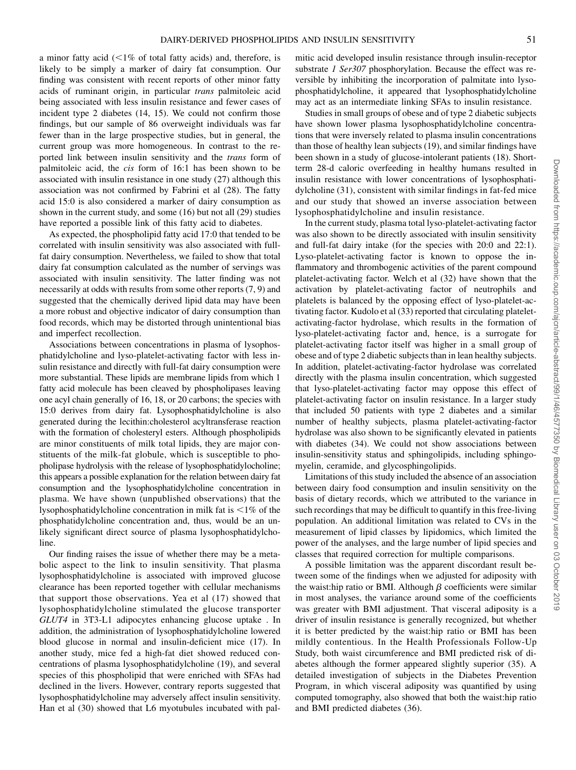a minor fatty acid  $\left($  < 1% of total fatty acids) and, therefore, is likely to be simply a marker of dairy fat consumption. Our finding was consistent with recent reports of other minor fatty acids of ruminant origin, in particular trans palmitoleic acid being associated with less insulin resistance and fewer cases of incident type 2 diabetes (14, 15). We could not confirm those findings, but our sample of 86 overweight individuals was far fewer than in the large prospective studies, but in general, the current group was more homogeneous. In contrast to the reported link between insulin sensitivity and the trans form of palmitoleic acid, the cis form of 16:1 has been shown to be associated with insulin resistance in one study (27) although this association was not confirmed by Fabrini et al (28). The fatty acid 15:0 is also considered a marker of dairy consumption as shown in the current study, and some (16) but not all (29) studies have reported a possible link of this fatty acid to diabetes.

As expected, the phospholipid fatty acid 17:0 that tended to be correlated with insulin sensitivity was also associated with fullfat dairy consumption. Nevertheless, we failed to show that total dairy fat consumption calculated as the number of servings was associated with insulin sensitivity. The latter finding was not necessarily at odds with results from some other reports (7, 9) and suggested that the chemically derived lipid data may have been a more robust and objective indicator of dairy consumption than food records, which may be distorted through unintentional bias and imperfect recollection.

Associations between concentrations in plasma of lysophosphatidylcholine and lyso-platelet-activating factor with less insulin resistance and directly with full-fat dairy consumption were more substantial. These lipids are membrane lipids from which 1 fatty acid molecule has been cleaved by phospholipases leaving one acyl chain generally of 16, 18, or 20 carbons; the species with 15:0 derives from dairy fat. Lysophosphatidylcholine is also generated during the lecithin:cholesterol acyltransferase reaction with the formation of cholesteryl esters. Although phospholipids are minor constituents of milk total lipids, they are major constituents of the milk-fat globule, which is susceptible to phopholipase hydrolysis with the release of lysophosphatidylocholine; this appears a possible explanation for the relation between dairy fat consumption and the lysophosphatidylcholine concentration in plasma. We have shown (unpublished observations) that the lysophosphatidylcholine concentration in milk fat is  $\leq 1\%$  of the phosphatidylcholine concentration and, thus, would be an unlikely significant direct source of plasma lysophosphatidylcholine.

Our finding raises the issue of whether there may be a metabolic aspect to the link to insulin sensitivity. That plasma lysophosphatidylcholine is associated with improved glucose clearance has been reported together with cellular mechanisms that support those observations. Yea et al (17) showed that lysophosphatidylcholine stimulated the glucose transporter GLUT4 in 3T3-L1 adipocytes enhancing glucose uptake . In addition, the administration of lysophosphatidylcholine lowered blood glucose in normal and insulin-deficient mice (17). In another study, mice fed a high-fat diet showed reduced concentrations of plasma lysophosphatidylcholine (19), and several species of this phospholipid that were enriched with SFAs had declined in the livers. However, contrary reports suggested that lysophosphatidylcholine may adversely affect insulin sensitivity. Han et al (30) showed that L6 myotubules incubated with palmitic acid developed insulin resistance through insulin-receptor substrate 1 Ser307 phosphorylation. Because the effect was reversible by inhibiting the incorporation of palmitate into lysophosphatidylcholine, it appeared that lysophosphatidylcholine may act as an intermediate linking SFAs to insulin resistance.

Studies in small groups of obese and of type 2 diabetic subjects have shown lower plasma lysophosphatidylcholine concentrations that were inversely related to plasma insulin concentrations than those of healthy lean subjects (19), and similar findings have been shown in a study of glucose-intolerant patients (18). Shortterm 28-d caloric overfeeding in healthy humans resulted in insulin resistance with lower concentrations of lysophosphatidylcholine (31), consistent with similar findings in fat-fed mice and our study that showed an inverse association between lysophosphatidylcholine and insulin resistance.

In the current study, plasma total lyso-platelet-activating factor was also shown to be directly associated with insulin sensitivity and full-fat dairy intake (for the species with 20:0 and 22:1). Lyso-platelet-activating factor is known to oppose the inflammatory and thrombogenic activities of the parent compound platelet-activating factor. Welch et al (32) have shown that the activation by platelet-activating factor of neutrophils and platelets is balanced by the opposing effect of lyso-platelet-activating factor. Kudolo et al (33) reported that circulating plateletactivating-factor hydrolase, which results in the formation of lyso-platelet-activating factor and, hence, is a surrogate for platelet-activating factor itself was higher in a small group of obese and of type 2 diabetic subjects than in lean healthy subjects. In addition, platelet-activating-factor hydrolase was correlated directly with the plasma insulin concentration, which suggested that lyso-platelet-activating factor may oppose this effect of platelet-activating factor on insulin resistance. In a larger study that included 50 patients with type 2 diabetes and a similar number of healthy subjects, plasma platelet-activating-factor hydrolase was also shown to be significantly elevated in patients with diabetes (34). We could not show associations between insulin-sensitivity status and sphingolipids, including sphingomyelin, ceramide, and glycosphingolipids.

Limitations of this study included the absence of an association between dairy food consumption and insulin sensitivity on the basis of dietary records, which we attributed to the variance in such recordings that may be difficult to quantify in this free-living population. An additional limitation was related to CVs in the measurement of lipid classes by lipidomics, which limited the power of the analyses, and the large number of lipid species and classes that required correction for multiple comparisons.

A possible limitation was the apparent discordant result between some of the findings when we adjusted for adiposity with the waist:hip ratio or BMI. Although  $\beta$  coefficients were similar in most analyses, the variance around some of the coefficients was greater with BMI adjustment. That visceral adiposity is a driver of insulin resistance is generally recognized, but whether it is better predicted by the waist:hip ratio or BMI has been mildly contentious. In the Health Professionals Follow-Up Study, both waist circumference and BMI predicted risk of diabetes although the former appeared slightly superior (35). A detailed investigation of subjects in the Diabetes Prevention Program, in which visceral adiposity was quantified by using computed tomography, also showed that both the waist:hip ratio and BMI predicted diabetes (36).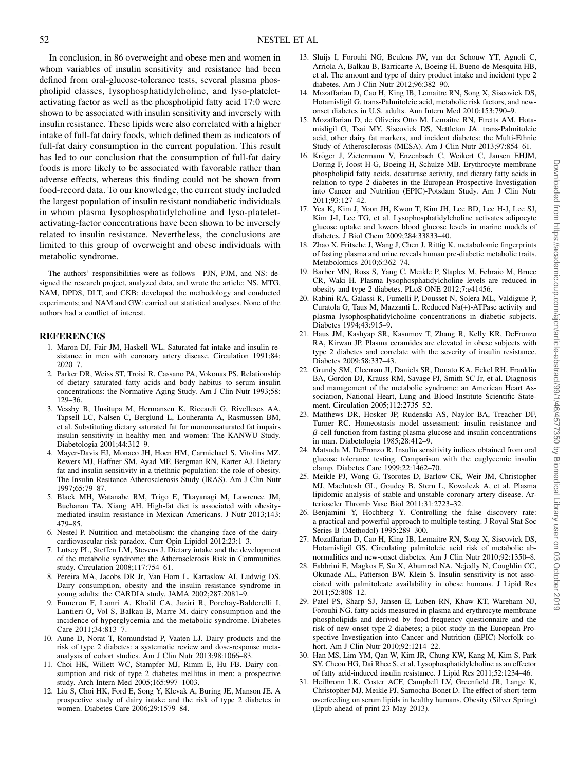In conclusion, in 86 overweight and obese men and women in whom variables of insulin sensitivity and resistance had been defined from oral-glucose-tolerance tests, several plasma phospholipid classes, lysophosphatidylcholine, and lyso-plateletactivating factor as well as the phospholipid fatty acid 17:0 were shown to be associated with insulin sensitivity and inversely with insulin resistance. These lipids were also correlated with a higher intake of full-fat dairy foods, which defined them as indicators of full-fat dairy consumption in the current population. This result has led to our conclusion that the consumption of full-fat dairy foods is more likely to be associated with favorable rather than adverse effects, whereas this finding could not be shown from food-record data. To our knowledge, the current study included the largest population of insulin resistant nondiabetic individuals in whom plasma lysophosphatidylcholine and lyso-plateletactivating-factor concentrations have been shown to be inversely related to insulin resistance. Nevertheless, the conclusions are limited to this group of overweight and obese individuals with metabolic syndrome.

The authors' responsibilities were as follows—PJN, PJM, and NS: designed the research project, analyzed data, and wrote the article; NS, MTG, NAM, DPDS, DLT, and CKB: developed the methodology and conducted experiments; and NAM and GW: carried out statistical analyses. None of the authors had a conflict of interest.

#### REFERENCES

- 1. Maron DJ, Fair JM, Haskell WL. Saturated fat intake and insulin resistance in men with coronary artery disease. Circulation 1991;84: 2020–7.
- 2. Parker DR, Weiss ST, Troisi R, Cassano PA, Vokonas PS. Relationship of dietary saturated fatty acids and body habitus to serum insulin concentrations: the Normative Aging Study. Am J Clin Nutr 1993;58: 129–36.
- 3. Vessby B, Unsitupa M, Hermansen K, Riccardi G, Rivelleses AA, Tapsell LC, Nalsen C, Berglund L, Louheranta A, Rasmussen BM, et al. Substituting dietary saturated fat for monounsaturated fat impairs insulin sensitivity in healthy men and women: The KANWU Study. Diabetologia 2001;44:312–9.
- 4. Mayer-Davis EJ, Monaco JH, Hoen HM, Carmichael S, Vitolins MZ, Rewers MJ, Haffner SM, Ayad MF, Bergman RN, Karter AJ. Dietary fat and insulin sensitivity in a triethnic population: the role of obesity. The Insulin Resitance Atherosclerosis Study (IRAS). Am J Clin Nutr 1997;65:79–87.
- 5. Black MH, Watanabe RM, Trigo E, Tkayanagi M, Lawrence JM, Buchanan TA, Xiang AH. High-fat diet is associated with obesitymediated insulin resistance in Mexican Americans. J Nutr 2013;143: 479–85.
- 6. Nestel P. Nutrition and metabolism: the changing face of the dairycardiovascular risk paradox. Curr Opin Lipidol 2012;23:1–3.
- 7. Lutsey PL, Steffen LM, Stevens J. Dietary intake and the development of the metabolic syndrome: the Atherosclerosis Risk in Communities study. Circulation 2008;117:754–61.
- 8. Pereira MA, Jacobs DR Jr, Van Horn L, Kartaslow AI, Ludwig DS. Dairy consumption, obesity and the insulin resistance syndrome in young adults: the CARDIA study. JAMA 2002;287:2081–9.
- 9. Fumeron F, Lamri A, Khalil CA, Jaziri R, Porchay-Balderelli I, Lantieri O, Vol S, Balkau B, Marre M. dairy consumption and the incidence of hyperglycemia and the metabolic syndrome. Diabetes Care 2011;34:813–7.
- 10. Aune D, Norat T, Romundstad P, Vaaten LJ. Dairy products and the risk of type 2 diabetes: a systematic review and dose-response metaanalysis of cohort studies. Am J Clin Nutr 2013;98:1066–83.
- 11. Choi HK, Willett WC, Stampfer MJ, Rimm E, Hu FB. Dairy consumption and risk of type 2 diabetes mellitus in men: a prospective study. Arch Intern Med 2005;165:997–1003.
- 12. Liu S, Choi HK, Ford E, Song Y, Klevak A, Buring JE, Manson JE. A prospective study of dairy intake and the risk of type 2 diabetes in women. Diabetes Care 2006;29:1579–84.
- 13. Sluijs I, Forouhi NG, Beulens JW, van der Schouw YT, Agnoli C, Arriola A, Balkau B, Barricarte A, Boeing H, Bueno-de-Mesquita HB, et al. The amount and type of dairy product intake and incident type 2 diabetes. Am J Clin Nutr 2012;96:382–90.
- 14. Mozaffarian D, Cao H, King IB, Lemaitre RN, Song X, Siscovick DS, Hotamisligil G. trans-Palmitoleic acid, metabolic risk factors, and newonset diabetes in U.S. adults. Ann Intern Med 2010;153:790–9.
- 15. Mozaffarian D, de Oliveirs Otto M, Lemaitre RN, Ftretts AM, Hotamisligil G, Tsai MY, Siscovick DS, Nettleton JA. trans-Palmitoleic acid, other dairy fat markers, and incident diabetes: the Multi-Ethnic Study of Atherosclerosis (MESA). Am J Clin Nutr 2013;97:854–61.
- 16. Kröger J, Zietermann V, Enzenbach C, Weikert C, Jansen EHJM, Doring F, Joost H-G, Boeing H, Schulze MB. Erythrocyte membrane phospholipid fatty acids, desaturase activity, and dietary fatty acids in relation to type 2 diabetes in the European Prospective Investigation into Cancer and Nutrition (EPIC)-Potsdam Study. Am J Clin Nutr 2011;93:127–42.
- 17. Yea K, Kim J, Yoon JH, Kwon T, Kim JH, Lee BD, Lee H-J, Lee SJ, Kim J-I, Lee TG, et al. Lysophosphatidylcholine activates adipocyte glucose uptake and lowers blood glucose levels in marine models of diabetes. J Biol Chem 2009;284:33833–40.
- 18. Zhao X, Fritsche J, Wang J, Chen J, Rittig K. metabolomic fingerprints of fasting plasma and urine reveals human pre-diabetic metabolic traits. Metabolomics 2010;6:362–74.
- 19. Barber MN, Ross S, Yang C, Meikle P, Staples M, Febraio M, Bruce CR, Waki H. Plasma lysophosphatidylcholine levels are reduced in obesity and type 2 diabetes. PLoS ONE 2012;7:e41456.
- 20. Rabini RA, Galassi R, Fumelli P, Dousset N, Solera ML, Valdiguie P, Curatola G, Taus M, Mazzanti L. Reduced Na(+)-ATPase activity and plasma lysophosphatidylcholine concentrations in diabetic subjects. Diabetes 1994;43:915–9.
- 21. Haus JM, Kashyap SR, Kasumov T, Zhang R, Kelly KR, DeFronzo RA, Kirwan JP. Plasma ceramides are elevated in obese subjects with type 2 diabetes and correlate with the severity of insulin resistance. Diabetes 2009;58:337–43.
- 22. Grundy SM, Cleeman JI, Daniels SR, Donato KA, Eckel RH, Franklin BA, Gordon DJ, Krauss RM, Savage PJ, Smith SC Jr, et al. Diagnosis and management of the metabolic syndrome: an American Heart Association, National Heart, Lung and Blood Institute Scientific Statement. Circulation 2005;112:2735–52.
- 23. Matthews DR, Hosker JP, Rudenski AS, Naylor BA, Treacher DF, Turner RC. Homeostasis model assessment: insulin resistance and  $\beta$ -cell function from fasting plasma glucose and insulin concentrations in man. Diabetologia 1985;28:412–9.
- 24. Matsuda M, DeFronzo R. Insulin sensitivity indices obtained from oral glucose tolerance testing. Comparison with the euglycemic insulin clamp. Diabetes Care 1999;22:1462–70.
- 25. Meikle PJ, Wong G, Tsorotes D, Barlow CK, Weir JM, Christopher MJ, MacIntosh GL, Goudey B, Stern L, Kowalczk A, et al. Plasma lipidomic analysis of stable and unstable coronary artery disease. Arterioscler Thromb Vasc Biol 2011;31:2723–32.
- 26. Benjamini Y, Hochberg Y. Controlling the false discovery rate: a practical and powerful approach to multiple testing. J Royal Stat Soc Series B (Methodol) 1995:289–300.
- 27. Mozaffarian D, Cao H, King IB, Lemaitre RN, Song X, Siscovick DS, Hotamisligil GS. Circulating palmitoleic acid risk of metabolic abnormalities and new-onset diabetes. Am J Clin Nutr 2010;92:1350–8.
- 28. Fabbrini E, Magkos F, Su X, Abumrad NA, Nejedly N, Coughlin CC, Okunade AL, Patterson BW, Klein S. Insulin sensitivity is not associated with palmitoleate availability in obese humans. J Lipid Res 2011;52:808–12.
- 29. Patel PS, Sharp SJ, Jansen E, Luben RN, Khaw KT, Wareham NJ, Forouhi NG. fatty acids measured in plasma and erythrocyte membrane phospholipids and derived by food-frequency questionnaire and the risk of new onset type 2 diabetes; a pilot study in the European Prospective Investigation into Cancer and Nutrition (EPIC)-Norfolk cohort. Am J Clin Nutr 2010;92:1214–22.
- 30. Han MS, Lim YM, Qan W, Kim JR, Chung KW, Kang M, Kim S, Park SY, Cheon HG, Dai Rhee S, et al. Lysophosphatidylcholine as an effector of fatty acid-induced insulin resistance. J Lipid Res 2011;52:1234–46.
- 31. Heilbronn LK, Coster ACF, Campbell LV, Greenfield JR, Lange K, Christopher MJ, Meikle PJ, Samocha-Bonet D. The effect of short-term overfeeding on serum lipids in healthy humans. Obesity (Silver Spring) (Epub ahead of print 23 May 2013).